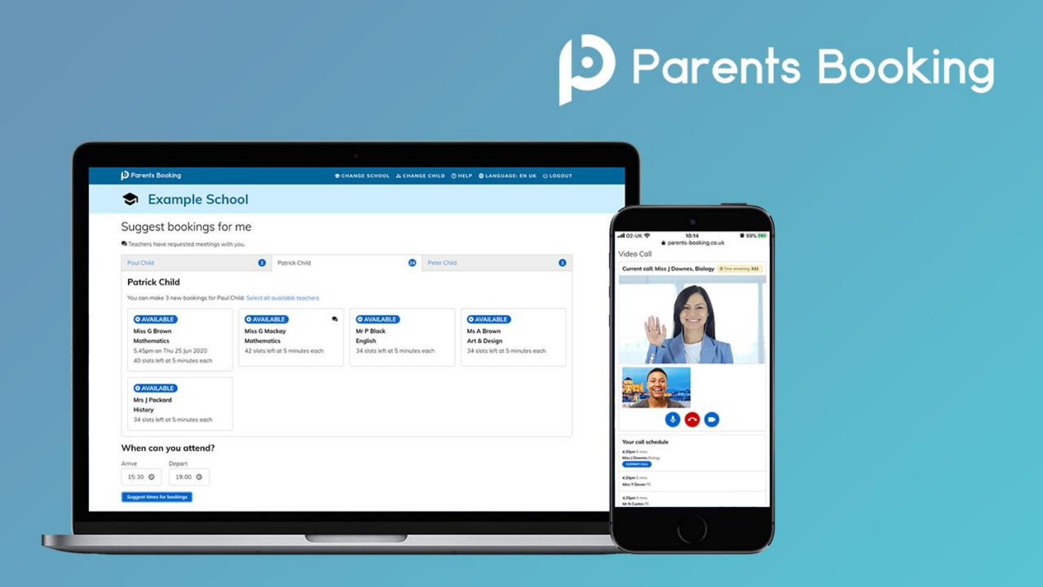# **D** Parents Booking

| Example School                                                                                                                                                                                                                                                                             |                                                                                                   |                                                                                |                                                                                     |                                                                                                                                                            |
|--------------------------------------------------------------------------------------------------------------------------------------------------------------------------------------------------------------------------------------------------------------------------------------------|---------------------------------------------------------------------------------------------------|--------------------------------------------------------------------------------|-------------------------------------------------------------------------------------|------------------------------------------------------------------------------------------------------------------------------------------------------------|
| Suggest bookings for me<br>Teachers have requested meetings with you.                                                                                                                                                                                                                      |                                                                                                   |                                                                                |                                                                                     | $\frac{1}{2}$<br>adl 02-UK 学<br>10:14<br>parents-booking.co.uk                                                                                             |
| Poul Child                                                                                                                                                                                                                                                                                 | $\bullet$<br>Potrick Child                                                                        | $\omega$<br>Peter Child                                                        |                                                                                     | Video Call<br>$\bullet$<br>Current call: Miss J Downes, Biology 6 Time tenanting 321                                                                       |
| You can make 3 new bookings for Paul Child. Select all available teachers<br><b>O AVAILABLE</b><br>Miss G Brown<br><b>Mathematics</b><br>5.45pm on Thu 25 Jun 2020<br>40 slots left at 5 minutes each<br><b>O AVAILABLE</b><br>Mrs J Packard<br>History<br>34 slots left at 5 minutes each | <b>O AVAILABLE</b><br>٠<br>Miss G Mackay<br><b>Mathematics</b><br>42 slots left at 5 minutes each | <b>O AVAILABLE</b><br>Mr P Block<br>English<br>34 slots left at 5 minutes each | <b>O AVAILABLE</b><br>Ms A Brown<br>Art & Design<br>34 slots left at 5 minutes each |                                                                                                                                                            |
| When can you attend?<br>Arrive<br>Depart<br>15:30 Q<br>19:00 Q<br>Suggest times for bookings                                                                                                                                                                                               |                                                                                                   |                                                                                |                                                                                     | Your call schedule<br>4.30pm 5 mins<br>Miss J Dewnes Burngy<br><b>CURPOINT CALL</b><br>420pm Smins<br>Miss Y Devan FT<br>4.35pm Simms<br>Mr Ni Couture FIT |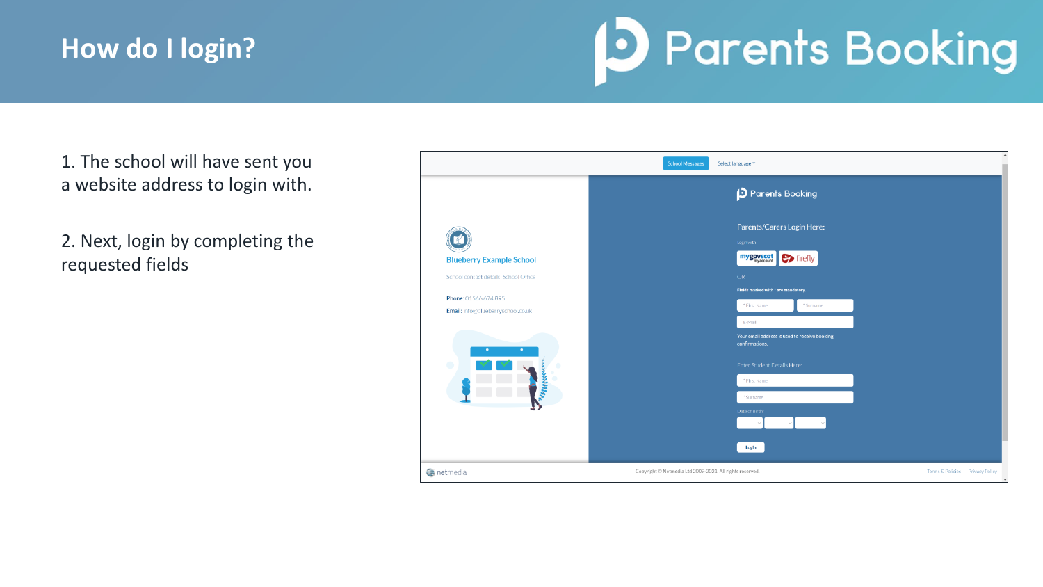### **How do I login?**

## **D** Parents Booking

1. The school will have sent you a website address to login with.

2. Next, login by completing the requested fields

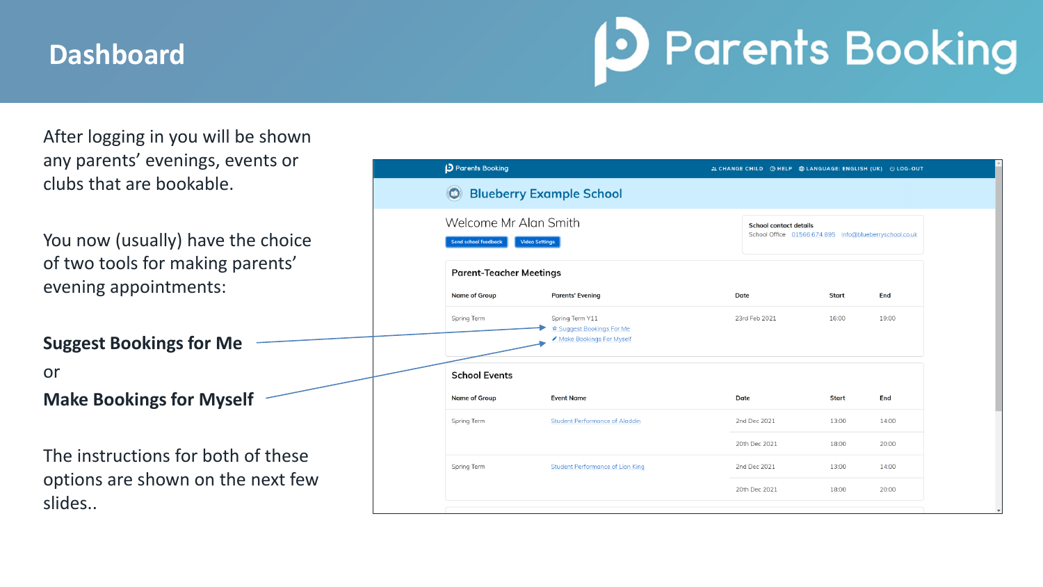#### **Dashboard**

### **D** Parents Booking

After logging in you will be shown any parents' evenings, events or clubs that are bookable.

You now (usually) have the choice of two tools for making parents' evening appointments:

**Suggest Bookings for Me** or **Make Bookings for Myself**

The instructions for both of these options are shown on the next few slides..

| Parents Booking                                                               |                                                                          |                                                                                         |  | 22 CHANGE CHILD @ HELP @ LANGUAGE: ENGLISH (UK) 0 LOG-OUT |       |  |
|-------------------------------------------------------------------------------|--------------------------------------------------------------------------|-----------------------------------------------------------------------------------------|--|-----------------------------------------------------------|-------|--|
| <b>Blueberry Example School</b>                                               |                                                                          |                                                                                         |  |                                                           |       |  |
| Welcome Mr Alan Smith<br><b>Send school feedback</b><br><b>Video Settings</b> |                                                                          | <b>School contact details</b><br>School Office 01566 674 895 info@blueberryschool.co.uk |  |                                                           |       |  |
| <b>Parent-Teacher Meetings</b>                                                |                                                                          |                                                                                         |  |                                                           |       |  |
| <b>Name of Group</b>                                                          | <b>Parents' Evening</b>                                                  | <b>Date</b>                                                                             |  | Start                                                     | End   |  |
| Spring Term                                                                   | Spring Term Y11<br>☆ Suggest Bookings For Me<br>Make Bookings For Myself | 23rd Feb 2021                                                                           |  | 16:00                                                     | 19:00 |  |
| <b>School Events</b>                                                          |                                                                          |                                                                                         |  |                                                           |       |  |
| <b>Name of Group</b>                                                          | <b>Event Name</b>                                                        | Date                                                                                    |  | <b>Start</b>                                              | End   |  |
| Spring Term                                                                   | <b>Student Performance of Aladdin</b>                                    | 2nd Dec 2021                                                                            |  | 13:00                                                     | 14:00 |  |
|                                                                               |                                                                          | 20th Dec 2021                                                                           |  | 18:00                                                     | 20:00 |  |
| Spring Term                                                                   | <b>Student Performance of Lion King</b>                                  | 2nd Dec 2021                                                                            |  | 13:00                                                     | 14:00 |  |
|                                                                               |                                                                          | 20th Dec 2021                                                                           |  | 18:00                                                     | 20:00 |  |
|                                                                               |                                                                          |                                                                                         |  |                                                           |       |  |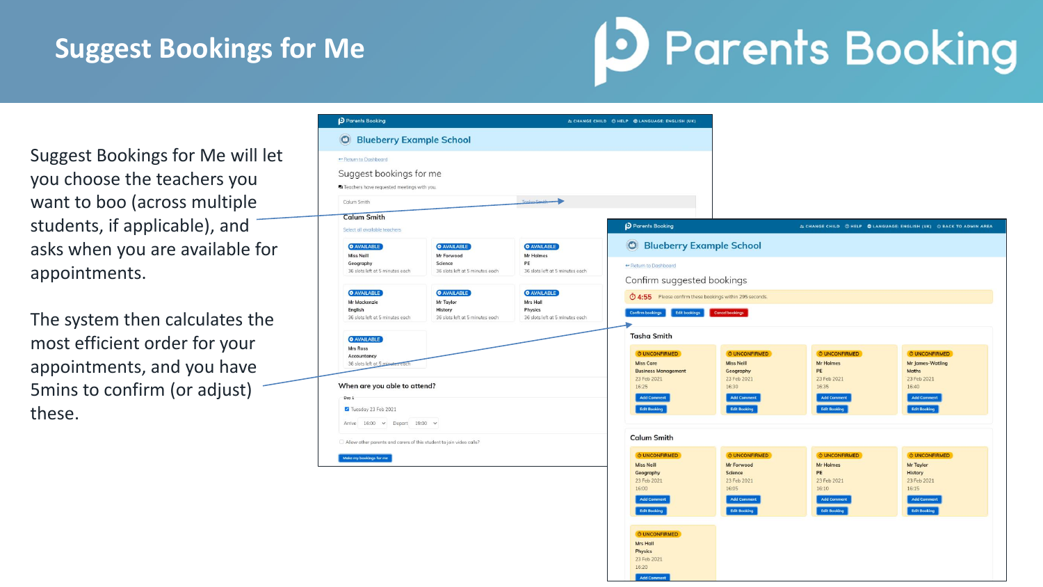### **Suggest Bookings for Me**

## **D** Parents Booking

Suggest Bookings for Me will let you choose the teachers you want to boo (across multiple students, if applicable), and asks when you are available for appointments.

The system then calculates the most efficient order for your appointments, and you have 5mins to confirm (or adjust) these.

| <b>D</b> Parents Booking                                                                     |                                                                               |                                                                              | 21 CHANGE CHILD @ HELP @ LANGUAGE: ENGLISH (UK)                                                                             |                                                                                                                           |                                                                                                                     |                                                                                                                          |
|----------------------------------------------------------------------------------------------|-------------------------------------------------------------------------------|------------------------------------------------------------------------------|-----------------------------------------------------------------------------------------------------------------------------|---------------------------------------------------------------------------------------------------------------------------|---------------------------------------------------------------------------------------------------------------------|--------------------------------------------------------------------------------------------------------------------------|
| <b>O</b> Blueberry Example School                                                            |                                                                               |                                                                              |                                                                                                                             |                                                                                                                           |                                                                                                                     |                                                                                                                          |
| Return to Dashboard<br>Suggest bookings for me<br>Teachers have requested meetings with you. |                                                                               |                                                                              |                                                                                                                             |                                                                                                                           |                                                                                                                     |                                                                                                                          |
| Calum Smith                                                                                  |                                                                               | Tocho Smith                                                                  |                                                                                                                             |                                                                                                                           |                                                                                                                     |                                                                                                                          |
| <b>Calum Smith</b><br>Select all available teachers                                          |                                                                               |                                                                              | Parents Booking                                                                                                             |                                                                                                                           |                                                                                                                     | 22 CHANGE CHILD @ HELP @ LANGUAGE: ENGLISH (UK) @ BACK TO ADMIN AREA                                                     |
| <b>O</b> AVAILABLE<br><b>Miss Neill</b>                                                      | <b>O AVAILABLE</b><br>Mr Forwood                                              | <b>O AVAILABLE</b><br>Mr Holmes                                              | <b>O</b> Blueberry Example School                                                                                           |                                                                                                                           |                                                                                                                     |                                                                                                                          |
| Geography<br>36 slots left at 5 minutes each                                                 | Science<br>36 slots left at 5 minutes each                                    | PE<br>36 slots left at 5 minutes each                                        | ← Return to Dashboard<br>Confirm suggested bookings                                                                         |                                                                                                                           |                                                                                                                     |                                                                                                                          |
| <b>O</b> AVAILABLE<br><b>Mr Mackenzie</b><br>English<br>36 slots left at 5 minutes each      | <b>O</b> AVAILABLE<br>Mr Taylor<br>History<br>36 slots left at 5 minutes each | <b>O AVAILABLE</b><br>Mrs Hall<br>Physics<br>36 slots left at 5 minutes each | 1:55 Please confirm these bookings within 295 seconds.<br><b>Confirm bookings</b><br><b>Edit bookings</b>                   | Cancel bookings                                                                                                           |                                                                                                                     |                                                                                                                          |
| <b>O</b> AVAILABLE<br>Mrs Ross                                                               |                                                                               |                                                                              | <b>Tasha Smith</b>                                                                                                          |                                                                                                                           |                                                                                                                     |                                                                                                                          |
| Accountancy<br>36 slots left at 5 minutes each                                               |                                                                               |                                                                              | O UNCONFIRMED<br><b>Miss Care</b><br><b>Business Management</b>                                                             | O UNCONFIRMED<br><b>Miss Neill</b><br>Geography                                                                           | <b>Ö UNCONFIRMED</b><br><b>Mr Holmes</b><br>PE                                                                      | <b>Ö UNCONFIRMED</b><br><b>Mr James-Watling</b><br>Maths                                                                 |
| When are you able to attend?<br>Day 1<br>Tuesday 23 Feb 2021                                 |                                                                               |                                                                              | 23 Feb 2021<br>16:25<br><b>Add Comment</b><br><b>Edit Booking</b>                                                           | 23 Feb 2021<br>16:30<br><b>Add Comment</b><br><b>Edit Booking</b>                                                         | 23 Feb 2021<br>16:35<br><b>Add Comment</b><br><b>Edit Booking</b>                                                   | 23 Feb 2021<br>16:40<br><b>Add Comment</b><br><b>Edit Booking</b>                                                        |
| Arrive 16:00 ~ Depart 19:00 ~                                                                |                                                                               |                                                                              |                                                                                                                             |                                                                                                                           |                                                                                                                     |                                                                                                                          |
| Allow other parents and carers of this student to join video calls?                          |                                                                               |                                                                              | <b>Calum Smith</b>                                                                                                          |                                                                                                                           |                                                                                                                     |                                                                                                                          |
| Make my bookings for me                                                                      |                                                                               |                                                                              | <b>O UNCONFIRMED</b><br><b>Miss Neill</b><br>Geography<br>23 Feb 2021<br>16:00<br><b>Add Comment</b><br><b>Edit Booking</b> | <b>Ö UNCONFIRMED</b><br>Mr Forwood<br><b>Science</b><br>23 Feb 2021<br>16:05<br><b>Add Comment</b><br><b>Edit Booking</b> | <b>Ô UNCONFIRMED</b><br><b>Mr Holmes</b><br>PE<br>23 Feb 2021<br>16:10<br><b>Add Comment</b><br><b>Edit Booking</b> | <b>O UNCONFIRMED</b><br>Mr Taylor<br><b>History</b><br>23 Feb 2021<br>16:15<br><b>Add Comment</b><br><b>Edit Booking</b> |
|                                                                                              |                                                                               |                                                                              | <b><i>O UNCONFIRMED</i></b><br><b>Mrs Hall</b><br><b>Physics</b><br>23 Feb 2021                                             |                                                                                                                           |                                                                                                                     |                                                                                                                          |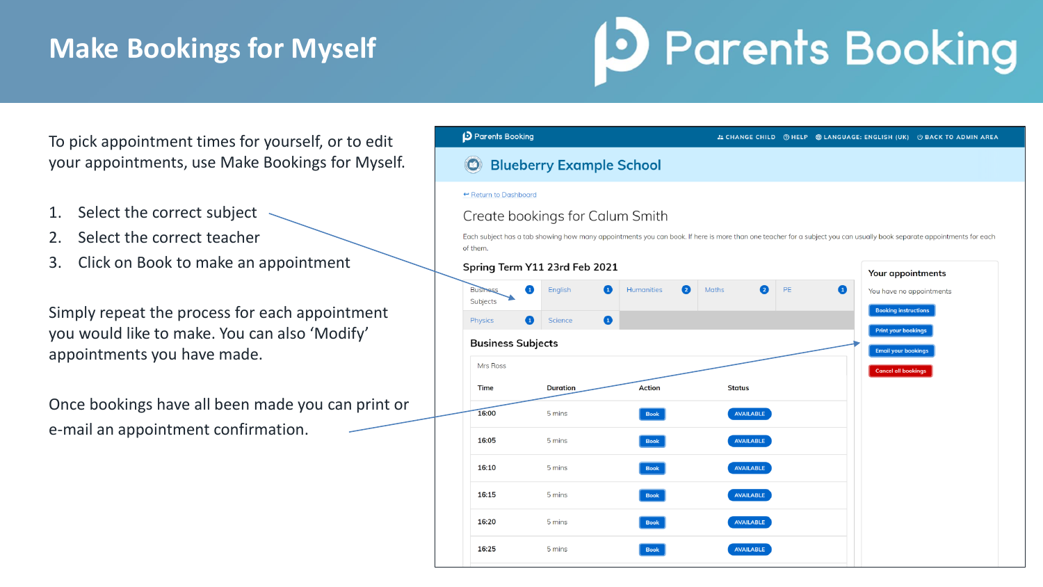### **Make Bookings for Myself**

### **D** Parents Booking

To pick appointment times for yourself, or to edit your appointments, use Make Bookings for Myself.

- 1. Select the correct subject
- 2. Select the correct teacher
- 3. Click on Book to make an appointment

Simply repeat the process for each appointment you would like to make. You can also 'Modify' appointments you have made.

Once bookings have all been made you can print or e-mail an appointment confirmation.

| <b>D</b> Parents Booking    |                                 |                                     |                   |    | 2. CHANGE CHILD ⑦ HELP <b>A</b> LANGUAGE: ENGLISH (UK) ① BACK TO ADMIN AREA                                                                                           |  |
|-----------------------------|---------------------------------|-------------------------------------|-------------------|----|-----------------------------------------------------------------------------------------------------------------------------------------------------------------------|--|
|                             | <b>Blueberry Example School</b> |                                     |                   |    |                                                                                                                                                                       |  |
| ← Return to Dashboard       |                                 |                                     |                   |    |                                                                                                                                                                       |  |
|                             | Create bookings for Calum Smith |                                     |                   |    |                                                                                                                                                                       |  |
| of them.                    |                                 |                                     |                   |    | Each subject has a tab showing how many appointments you can book. If here is more than one teacher for a subject you can usually book separate appointments for each |  |
|                             | Spring Term Y11 23rd Feb 2021   |                                     |                   |    | Your appointments                                                                                                                                                     |  |
| <b>Business</b><br>Subjects | 0<br>English                    | <b>Humanities</b><br>Ω<br>$\bullet$ | 2<br><b>Maths</b> | PE | $\bullet$<br>You have no appointments                                                                                                                                 |  |
| Physics                     | ❶<br>Science                    | $\bullet$                           |                   |    | <b>Booking instructions</b>                                                                                                                                           |  |
| <b>Business Subjects</b>    |                                 |                                     |                   |    | <b>Print your bookings</b><br><b>Email your bookings</b>                                                                                                              |  |
| Mrs Ross                    |                                 |                                     |                   |    | <b>Cancel all bookings</b>                                                                                                                                            |  |
| <b>Time</b>                 | <b>Duration</b>                 | <b>Action</b>                       | <b>Status</b>     |    |                                                                                                                                                                       |  |
| 16:00                       | 5 mins                          | <b>Book</b>                         | <b>AVAILABLE</b>  |    |                                                                                                                                                                       |  |
| 16:05                       | 5 mins                          | <b>Book</b>                         | <b>AVAILABLE</b>  |    |                                                                                                                                                                       |  |
| 16:10                       | 5 mins                          | <b>Book</b>                         | <b>AVAILABLE</b>  |    |                                                                                                                                                                       |  |
| 16:15                       | 5 mins                          | <b>Book</b>                         | <b>AVAILABLE</b>  |    |                                                                                                                                                                       |  |
| 16:20                       | 5 mins                          | <b>Book</b>                         | <b>AVAILABLE</b>  |    |                                                                                                                                                                       |  |
|                             |                                 |                                     |                   |    |                                                                                                                                                                       |  |